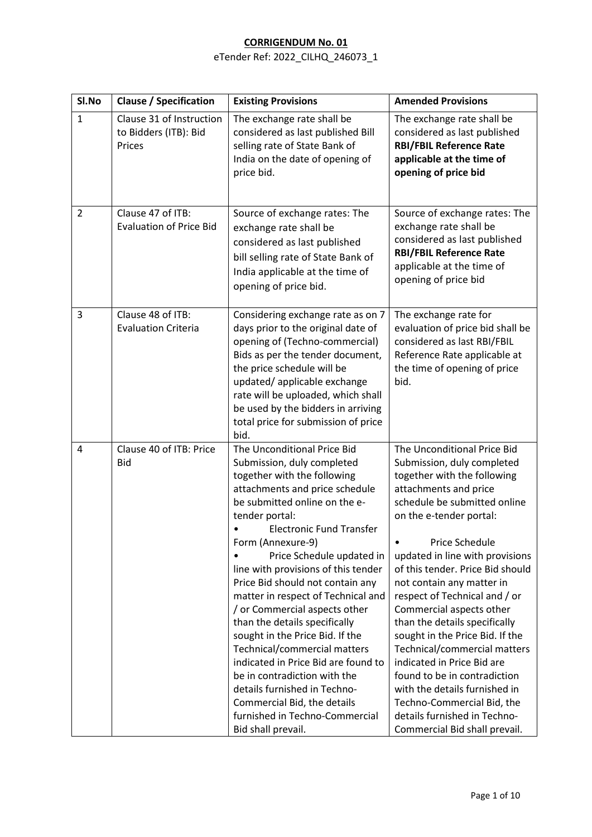| SI.No          | <b>Clause / Specification</b>                               | <b>Existing Provisions</b>                                                                                                                                                                                                                                                                                                                                                                                                                                                                                                                                                                                                                                                                                             | <b>Amended Provisions</b>                                                                                                                                                                                                                                                                                                                                                                                                                                                                                                                                                                                                                                                      |
|----------------|-------------------------------------------------------------|------------------------------------------------------------------------------------------------------------------------------------------------------------------------------------------------------------------------------------------------------------------------------------------------------------------------------------------------------------------------------------------------------------------------------------------------------------------------------------------------------------------------------------------------------------------------------------------------------------------------------------------------------------------------------------------------------------------------|--------------------------------------------------------------------------------------------------------------------------------------------------------------------------------------------------------------------------------------------------------------------------------------------------------------------------------------------------------------------------------------------------------------------------------------------------------------------------------------------------------------------------------------------------------------------------------------------------------------------------------------------------------------------------------|
| $\mathbf{1}$   | Clause 31 of Instruction<br>to Bidders (ITB): Bid<br>Prices | The exchange rate shall be<br>considered as last published Bill<br>selling rate of State Bank of<br>India on the date of opening of<br>price bid.                                                                                                                                                                                                                                                                                                                                                                                                                                                                                                                                                                      | The exchange rate shall be<br>considered as last published<br><b>RBI/FBIL Reference Rate</b><br>applicable at the time of<br>opening of price bid                                                                                                                                                                                                                                                                                                                                                                                                                                                                                                                              |
| $\overline{2}$ | Clause 47 of ITB:<br><b>Evaluation of Price Bid</b>         | Source of exchange rates: The<br>exchange rate shall be<br>considered as last published<br>bill selling rate of State Bank of<br>India applicable at the time of<br>opening of price bid.                                                                                                                                                                                                                                                                                                                                                                                                                                                                                                                              | Source of exchange rates: The<br>exchange rate shall be<br>considered as last published<br><b>RBI/FBIL Reference Rate</b><br>applicable at the time of<br>opening of price bid                                                                                                                                                                                                                                                                                                                                                                                                                                                                                                 |
| 3              | Clause 48 of ITB:<br><b>Evaluation Criteria</b>             | Considering exchange rate as on 7<br>days prior to the original date of<br>opening of (Techno-commercial)<br>Bids as per the tender document,<br>the price schedule will be<br>updated/applicable exchange<br>rate will be uploaded, which shall<br>be used by the bidders in arriving<br>total price for submission of price<br>bid.                                                                                                                                                                                                                                                                                                                                                                                  | The exchange rate for<br>evaluation of price bid shall be<br>considered as last RBI/FBIL<br>Reference Rate applicable at<br>the time of opening of price<br>bid.                                                                                                                                                                                                                                                                                                                                                                                                                                                                                                               |
| 4              | Clause 40 of ITB: Price<br><b>Bid</b>                       | The Unconditional Price Bid<br>Submission, duly completed<br>together with the following<br>attachments and price schedule<br>be submitted online on the e-<br>tender portal:<br><b>Electronic Fund Transfer</b><br>Form (Annexure-9)<br>Price Schedule updated in<br>line with provisions of this tender<br>Price Bid should not contain any<br>matter in respect of Technical and<br>/ or Commercial aspects other<br>than the details specifically<br>sought in the Price Bid. If the<br>Technical/commercial matters<br>indicated in Price Bid are found to<br>be in contradiction with the<br>details furnished in Techno-<br>Commercial Bid, the details<br>furnished in Techno-Commercial<br>Bid shall prevail. | The Unconditional Price Bid<br>Submission, duly completed<br>together with the following<br>attachments and price<br>schedule be submitted online<br>on the e-tender portal:<br>Price Schedule<br>$\bullet$<br>updated in line with provisions<br>of this tender. Price Bid should<br>not contain any matter in<br>respect of Technical and / or<br>Commercial aspects other<br>than the details specifically<br>sought in the Price Bid. If the<br>Technical/commercial matters<br>indicated in Price Bid are<br>found to be in contradiction<br>with the details furnished in<br>Techno-Commercial Bid, the<br>details furnished in Techno-<br>Commercial Bid shall prevail. |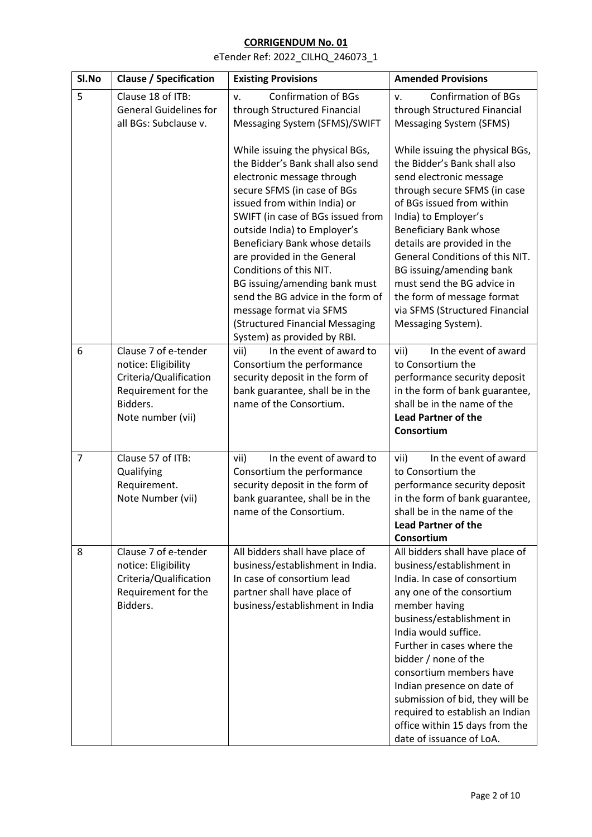| SI.No          | <b>Clause / Specification</b>                                                                                                 | <b>Existing Provisions</b>                                                                                                                                                                                                                                                                                                                                                                                                                                                                            | <b>Amended Provisions</b>                                                                                                                                                                                                                                                                                                                                                                                                                          |
|----------------|-------------------------------------------------------------------------------------------------------------------------------|-------------------------------------------------------------------------------------------------------------------------------------------------------------------------------------------------------------------------------------------------------------------------------------------------------------------------------------------------------------------------------------------------------------------------------------------------------------------------------------------------------|----------------------------------------------------------------------------------------------------------------------------------------------------------------------------------------------------------------------------------------------------------------------------------------------------------------------------------------------------------------------------------------------------------------------------------------------------|
| 5              | Clause 18 of ITB:<br><b>General Guidelines for</b><br>all BGs: Subclause v.                                                   | <b>Confirmation of BGs</b><br>v.<br>through Structured Financial<br>Messaging System (SFMS)/SWIFT                                                                                                                                                                                                                                                                                                                                                                                                     | <b>Confirmation of BGs</b><br>v.<br>through Structured Financial<br>Messaging System (SFMS)                                                                                                                                                                                                                                                                                                                                                        |
|                |                                                                                                                               | While issuing the physical BGs,<br>the Bidder's Bank shall also send<br>electronic message through<br>secure SFMS (in case of BGs<br>issued from within India) or<br>SWIFT (in case of BGs issued from<br>outside India) to Employer's<br>Beneficiary Bank whose details<br>are provided in the General<br>Conditions of this NIT.<br>BG issuing/amending bank must<br>send the BG advice in the form of<br>message format via SFMS<br>(Structured Financial Messaging<br>System) as provided by RBI. | While issuing the physical BGs,<br>the Bidder's Bank shall also<br>send electronic message<br>through secure SFMS (in case<br>of BGs issued from within<br>India) to Employer's<br>Beneficiary Bank whose<br>details are provided in the<br>General Conditions of this NIT.<br>BG issuing/amending bank<br>must send the BG advice in<br>the form of message format<br>via SFMS (Structured Financial<br>Messaging System).                        |
| 6              | Clause 7 of e-tender<br>notice: Eligibility<br>Criteria/Qualification<br>Requirement for the<br>Bidders.<br>Note number (vii) | In the event of award to<br>vii)<br>Consortium the performance<br>security deposit in the form of<br>bank guarantee, shall be in the<br>name of the Consortium.                                                                                                                                                                                                                                                                                                                                       | In the event of award<br>vii)<br>to Consortium the<br>performance security deposit<br>in the form of bank guarantee,<br>shall be in the name of the<br><b>Lead Partner of the</b><br>Consortium                                                                                                                                                                                                                                                    |
| $\overline{7}$ | Clause 57 of ITB:<br>Qualifying<br>Requirement.<br>Note Number (vii)                                                          | In the event of award to<br>vii)<br>Consortium the performance<br>security deposit in the form of<br>bank guarantee, shall be in the<br>name of the Consortium.                                                                                                                                                                                                                                                                                                                                       | In the event of award<br>vii)<br>to Consortium the<br>performance security deposit<br>in the form of bank guarantee,<br>shall be in the name of the<br><b>Lead Partner of the</b><br>Consortium                                                                                                                                                                                                                                                    |
| 8              | Clause 7 of e-tender<br>notice: Eligibility<br>Criteria/Qualification<br>Requirement for the<br>Bidders.                      | All bidders shall have place of<br>business/establishment in India.<br>In case of consortium lead<br>partner shall have place of<br>business/establishment in India                                                                                                                                                                                                                                                                                                                                   | All bidders shall have place of<br>business/establishment in<br>India. In case of consortium<br>any one of the consortium<br>member having<br>business/establishment in<br>India would suffice.<br>Further in cases where the<br>bidder / none of the<br>consortium members have<br>Indian presence on date of<br>submission of bid, they will be<br>required to establish an Indian<br>office within 15 days from the<br>date of issuance of LoA. |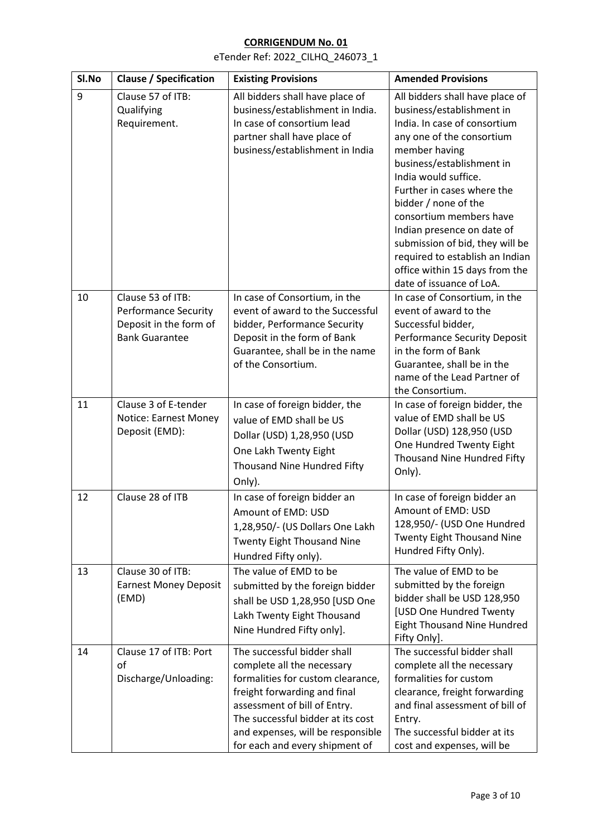| Sl.No | <b>Clause / Specification</b>                                                                       | <b>Existing Provisions</b>                                                                                                                                                                                                                                                 | <b>Amended Provisions</b>                                                                                                                                                                                                                                                                                                                                                                                                                          |
|-------|-----------------------------------------------------------------------------------------------------|----------------------------------------------------------------------------------------------------------------------------------------------------------------------------------------------------------------------------------------------------------------------------|----------------------------------------------------------------------------------------------------------------------------------------------------------------------------------------------------------------------------------------------------------------------------------------------------------------------------------------------------------------------------------------------------------------------------------------------------|
| 9     | Clause 57 of ITB:<br>Qualifying<br>Requirement.                                                     | All bidders shall have place of<br>business/establishment in India.<br>In case of consortium lead<br>partner shall have place of<br>business/establishment in India                                                                                                        | All bidders shall have place of<br>business/establishment in<br>India. In case of consortium<br>any one of the consortium<br>member having<br>business/establishment in<br>India would suffice.<br>Further in cases where the<br>bidder / none of the<br>consortium members have<br>Indian presence on date of<br>submission of bid, they will be<br>required to establish an Indian<br>office within 15 days from the<br>date of issuance of LoA. |
| 10    | Clause 53 of ITB:<br><b>Performance Security</b><br>Deposit in the form of<br><b>Bank Guarantee</b> | In case of Consortium, in the<br>event of award to the Successful<br>bidder, Performance Security<br>Deposit in the form of Bank<br>Guarantee, shall be in the name<br>of the Consortium.                                                                                  | In case of Consortium, in the<br>event of award to the<br>Successful bidder,<br><b>Performance Security Deposit</b><br>in the form of Bank<br>Guarantee, shall be in the<br>name of the Lead Partner of<br>the Consortium.                                                                                                                                                                                                                         |
| 11    | Clause 3 of E-tender<br>Notice: Earnest Money<br>Deposit (EMD):                                     | In case of foreign bidder, the<br>value of EMD shall be US<br>Dollar (USD) 1,28,950 (USD<br>One Lakh Twenty Eight<br>Thousand Nine Hundred Fifty<br>Only).                                                                                                                 | In case of foreign bidder, the<br>value of EMD shall be US<br>Dollar (USD) 128,950 (USD<br>One Hundred Twenty Eight<br>Thousand Nine Hundred Fifty<br>Only).                                                                                                                                                                                                                                                                                       |
| 12    | Clause 28 of ITB                                                                                    | In case of foreign bidder an<br>Amount of EMD: USD<br>1,28,950/- (US Dollars One Lakh<br>Twenty Eight Thousand Nine<br>Hundred Fifty only).                                                                                                                                | In case of foreign bidder an<br>Amount of EMD: USD<br>128,950/- (USD One Hundred<br><b>Twenty Eight Thousand Nine</b><br>Hundred Fifty Only).                                                                                                                                                                                                                                                                                                      |
| 13    | Clause 30 of ITB:<br><b>Earnest Money Deposit</b><br>(EMD)                                          | The value of EMD to be<br>submitted by the foreign bidder<br>shall be USD 1,28,950 [USD One<br>Lakh Twenty Eight Thousand<br>Nine Hundred Fifty only].                                                                                                                     | The value of EMD to be<br>submitted by the foreign<br>bidder shall be USD 128,950<br>[USD One Hundred Twenty<br>Eight Thousand Nine Hundred<br>Fifty Only].                                                                                                                                                                                                                                                                                        |
| 14    | Clause 17 of ITB: Port<br>of<br>Discharge/Unloading:                                                | The successful bidder shall<br>complete all the necessary<br>formalities for custom clearance,<br>freight forwarding and final<br>assessment of bill of Entry.<br>The successful bidder at its cost<br>and expenses, will be responsible<br>for each and every shipment of | The successful bidder shall<br>complete all the necessary<br>formalities for custom<br>clearance, freight forwarding<br>and final assessment of bill of<br>Entry.<br>The successful bidder at its<br>cost and expenses, will be                                                                                                                                                                                                                    |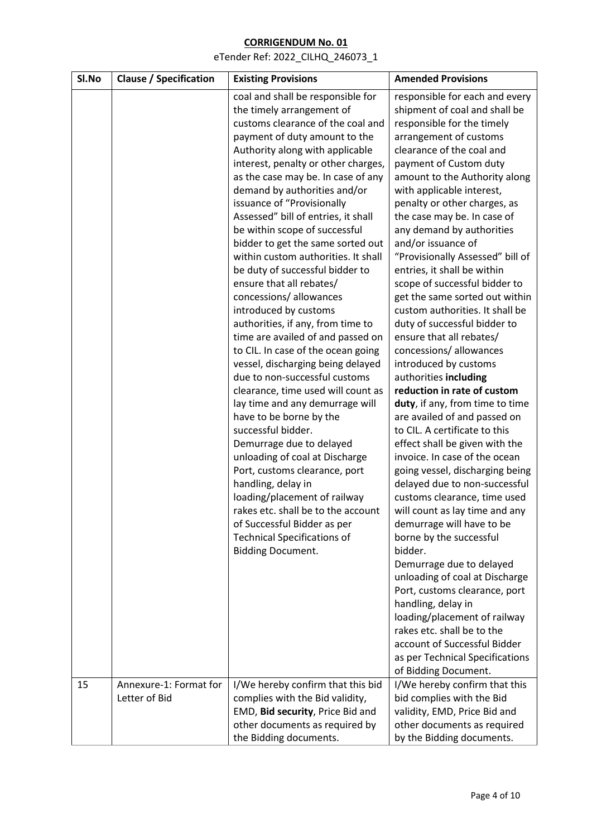| Sl.No | <b>Clause / Specification</b> | <b>Existing Provisions</b>                                                                                                                                                                                                                                                                                                                                                                                                                                                                                                                                                                                                                                                                                                                                                                                                                                                                                                                                                                                                                                                                                                                                                                            | <b>Amended Provisions</b>                                                                                                                                                                                                                                                                                                                                                                                                                                                                                                                                                                                                                                                                                                                                                                                                                                                                                                                                                                                                                                                                                                                                                                      |
|-------|-------------------------------|-------------------------------------------------------------------------------------------------------------------------------------------------------------------------------------------------------------------------------------------------------------------------------------------------------------------------------------------------------------------------------------------------------------------------------------------------------------------------------------------------------------------------------------------------------------------------------------------------------------------------------------------------------------------------------------------------------------------------------------------------------------------------------------------------------------------------------------------------------------------------------------------------------------------------------------------------------------------------------------------------------------------------------------------------------------------------------------------------------------------------------------------------------------------------------------------------------|------------------------------------------------------------------------------------------------------------------------------------------------------------------------------------------------------------------------------------------------------------------------------------------------------------------------------------------------------------------------------------------------------------------------------------------------------------------------------------------------------------------------------------------------------------------------------------------------------------------------------------------------------------------------------------------------------------------------------------------------------------------------------------------------------------------------------------------------------------------------------------------------------------------------------------------------------------------------------------------------------------------------------------------------------------------------------------------------------------------------------------------------------------------------------------------------|
|       |                               | coal and shall be responsible for<br>the timely arrangement of<br>customs clearance of the coal and<br>payment of duty amount to the<br>Authority along with applicable<br>interest, penalty or other charges,<br>as the case may be. In case of any<br>demand by authorities and/or<br>issuance of "Provisionally<br>Assessed" bill of entries, it shall<br>be within scope of successful<br>bidder to get the same sorted out<br>within custom authorities. It shall<br>be duty of successful bidder to<br>ensure that all rebates/<br>concessions/ allowances<br>introduced by customs<br>authorities, if any, from time to<br>time are availed of and passed on<br>to CIL. In case of the ocean going<br>vessel, discharging being delayed<br>due to non-successful customs<br>clearance, time used will count as<br>lay time and any demurrage will<br>have to be borne by the<br>successful bidder.<br>Demurrage due to delayed<br>unloading of coal at Discharge<br>Port, customs clearance, port<br>handling, delay in<br>loading/placement of railway<br>rakes etc. shall be to the account<br>of Successful Bidder as per<br><b>Technical Specifications of</b><br><b>Bidding Document.</b> | responsible for each and every<br>shipment of coal and shall be<br>responsible for the timely<br>arrangement of customs<br>clearance of the coal and<br>payment of Custom duty<br>amount to the Authority along<br>with applicable interest,<br>penalty or other charges, as<br>the case may be. In case of<br>any demand by authorities<br>and/or issuance of<br>"Provisionally Assessed" bill of<br>entries, it shall be within<br>scope of successful bidder to<br>get the same sorted out within<br>custom authorities. It shall be<br>duty of successful bidder to<br>ensure that all rebates/<br>concessions/ allowances<br>introduced by customs<br>authorities including<br>reduction in rate of custom<br>duty, if any, from time to time<br>are availed of and passed on<br>to CIL. A certificate to this<br>effect shall be given with the<br>invoice. In case of the ocean<br>going vessel, discharging being<br>delayed due to non-successful<br>customs clearance, time used<br>will count as lay time and any<br>demurrage will have to be<br>borne by the successful<br>bidder.<br>Demurrage due to delayed<br>unloading of coal at Discharge<br>Port, customs clearance, port |
|       |                               |                                                                                                                                                                                                                                                                                                                                                                                                                                                                                                                                                                                                                                                                                                                                                                                                                                                                                                                                                                                                                                                                                                                                                                                                       | handling, delay in<br>loading/placement of railway<br>rakes etc. shall be to the<br>account of Successful Bidder<br>as per Technical Specifications<br>of Bidding Document.                                                                                                                                                                                                                                                                                                                                                                                                                                                                                                                                                                                                                                                                                                                                                                                                                                                                                                                                                                                                                    |
| 15    | Annexure-1: Format for        | I/We hereby confirm that this bid                                                                                                                                                                                                                                                                                                                                                                                                                                                                                                                                                                                                                                                                                                                                                                                                                                                                                                                                                                                                                                                                                                                                                                     | I/We hereby confirm that this                                                                                                                                                                                                                                                                                                                                                                                                                                                                                                                                                                                                                                                                                                                                                                                                                                                                                                                                                                                                                                                                                                                                                                  |
|       | Letter of Bid                 | complies with the Bid validity,                                                                                                                                                                                                                                                                                                                                                                                                                                                                                                                                                                                                                                                                                                                                                                                                                                                                                                                                                                                                                                                                                                                                                                       | bid complies with the Bid                                                                                                                                                                                                                                                                                                                                                                                                                                                                                                                                                                                                                                                                                                                                                                                                                                                                                                                                                                                                                                                                                                                                                                      |
|       |                               | EMD, Bid security, Price Bid and<br>other documents as required by                                                                                                                                                                                                                                                                                                                                                                                                                                                                                                                                                                                                                                                                                                                                                                                                                                                                                                                                                                                                                                                                                                                                    | validity, EMD, Price Bid and<br>other documents as required                                                                                                                                                                                                                                                                                                                                                                                                                                                                                                                                                                                                                                                                                                                                                                                                                                                                                                                                                                                                                                                                                                                                    |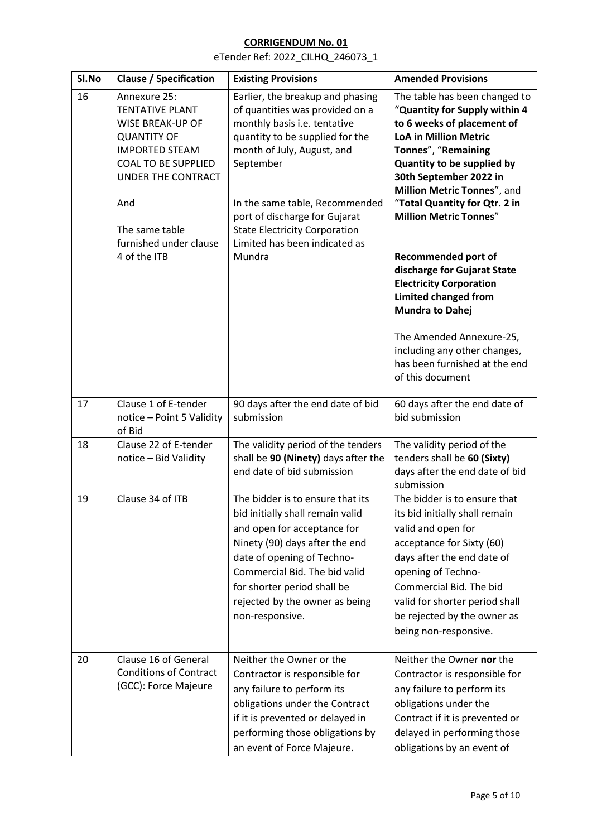| Sl.No | <b>Clause / Specification</b>                                                                                                                                                                                                           | <b>Existing Provisions</b>                                                                                                                                                                                                                                                                                                              | <b>Amended Provisions</b>                                                                                                                                                                                                                                                                                                                                                                                                                                                                                                                                                             |
|-------|-----------------------------------------------------------------------------------------------------------------------------------------------------------------------------------------------------------------------------------------|-----------------------------------------------------------------------------------------------------------------------------------------------------------------------------------------------------------------------------------------------------------------------------------------------------------------------------------------|---------------------------------------------------------------------------------------------------------------------------------------------------------------------------------------------------------------------------------------------------------------------------------------------------------------------------------------------------------------------------------------------------------------------------------------------------------------------------------------------------------------------------------------------------------------------------------------|
| 16    | Annexure 25:<br><b>TENTATIVE PLANT</b><br><b>WISE BREAK-UP OF</b><br><b>QUANTITY OF</b><br><b>IMPORTED STEAM</b><br><b>COAL TO BE SUPPLIED</b><br>UNDER THE CONTRACT<br>And<br>The same table<br>furnished under clause<br>4 of the ITB | Earlier, the breakup and phasing<br>of quantities was provided on a<br>monthly basis i.e. tentative<br>quantity to be supplied for the<br>month of July, August, and<br>September<br>In the same table, Recommended<br>port of discharge for Gujarat<br><b>State Electricity Corporation</b><br>Limited has been indicated as<br>Mundra | The table has been changed to<br>"Quantity for Supply within 4<br>to 6 weeks of placement of<br><b>LoA in Million Metric</b><br>Tonnes", "Remaining<br>Quantity to be supplied by<br>30th September 2022 in<br>Million Metric Tonnes", and<br>"Total Quantity for Qtr. 2 in<br><b>Million Metric Tonnes"</b><br><b>Recommended port of</b><br>discharge for Gujarat State<br><b>Electricity Corporation</b><br><b>Limited changed from</b><br><b>Mundra to Dahej</b><br>The Amended Annexure-25,<br>including any other changes,<br>has been furnished at the end<br>of this document |
| 17    | Clause 1 of E-tender<br>notice - Point 5 Validity<br>of Bid                                                                                                                                                                             | 90 days after the end date of bid<br>submission                                                                                                                                                                                                                                                                                         | 60 days after the end date of<br>bid submission                                                                                                                                                                                                                                                                                                                                                                                                                                                                                                                                       |
| 18    | Clause 22 of E-tender<br>notice - Bid Validity                                                                                                                                                                                          | The validity period of the tenders<br>shall be 90 (Ninety) days after the<br>end date of bid submission                                                                                                                                                                                                                                 | The validity period of the<br>tenders shall be 60 (Sixty)<br>days after the end date of bid<br>submission                                                                                                                                                                                                                                                                                                                                                                                                                                                                             |
| 19    | Clause 34 of ITB                                                                                                                                                                                                                        | The bidder is to ensure that its<br>bid initially shall remain valid<br>and open for acceptance for<br>Ninety (90) days after the end<br>date of opening of Techno-<br>Commercial Bid. The bid valid<br>for shorter period shall be<br>rejected by the owner as being<br>non-responsive.                                                | The bidder is to ensure that<br>its bid initially shall remain<br>valid and open for<br>acceptance for Sixty (60)<br>days after the end date of<br>opening of Techno-<br>Commercial Bid. The bid<br>valid for shorter period shall<br>be rejected by the owner as<br>being non-responsive.                                                                                                                                                                                                                                                                                            |
| 20    | Clause 16 of General<br><b>Conditions of Contract</b><br>(GCC): Force Majeure                                                                                                                                                           | Neither the Owner or the<br>Contractor is responsible for<br>any failure to perform its<br>obligations under the Contract<br>if it is prevented or delayed in<br>performing those obligations by<br>an event of Force Majeure.                                                                                                          | Neither the Owner nor the<br>Contractor is responsible for<br>any failure to perform its<br>obligations under the<br>Contract if it is prevented or<br>delayed in performing those<br>obligations by an event of                                                                                                                                                                                                                                                                                                                                                                      |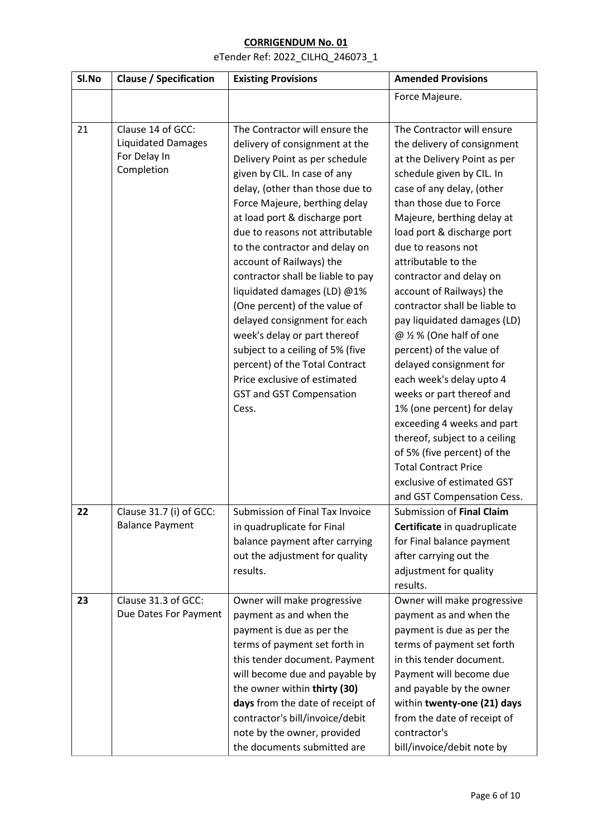## **CORRIGENDUM No. 01** eTender Ref: 2022\_CILHQ\_246073\_1

| Sl.No | <b>Clause / Specification</b>                                                | <b>Existing Provisions</b>                                                                                                                                                                                                                                                                                                                                                                                                                                                                                                                                                                                                                                      | <b>Amended Provisions</b>                                                                                                                                                                                                                                                                                                                                                                                                                                                                                                                                                                                                                                                                                                                                                         |
|-------|------------------------------------------------------------------------------|-----------------------------------------------------------------------------------------------------------------------------------------------------------------------------------------------------------------------------------------------------------------------------------------------------------------------------------------------------------------------------------------------------------------------------------------------------------------------------------------------------------------------------------------------------------------------------------------------------------------------------------------------------------------|-----------------------------------------------------------------------------------------------------------------------------------------------------------------------------------------------------------------------------------------------------------------------------------------------------------------------------------------------------------------------------------------------------------------------------------------------------------------------------------------------------------------------------------------------------------------------------------------------------------------------------------------------------------------------------------------------------------------------------------------------------------------------------------|
|       |                                                                              |                                                                                                                                                                                                                                                                                                                                                                                                                                                                                                                                                                                                                                                                 | Force Majeure.                                                                                                                                                                                                                                                                                                                                                                                                                                                                                                                                                                                                                                                                                                                                                                    |
| 21    | Clause 14 of GCC:<br><b>Liquidated Damages</b><br>For Delay In<br>Completion | The Contractor will ensure the<br>delivery of consignment at the<br>Delivery Point as per schedule<br>given by CIL. In case of any<br>delay, (other than those due to<br>Force Majeure, berthing delay<br>at load port & discharge port<br>due to reasons not attributable<br>to the contractor and delay on<br>account of Railways) the<br>contractor shall be liable to pay<br>liquidated damages (LD) @1%<br>(One percent) of the value of<br>delayed consignment for each<br>week's delay or part thereof<br>subject to a ceiling of 5% (five<br>percent) of the Total Contract<br>Price exclusive of estimated<br><b>GST and GST Compensation</b><br>Cess. | The Contractor will ensure<br>the delivery of consignment<br>at the Delivery Point as per<br>schedule given by CIL. In<br>case of any delay, (other<br>than those due to Force<br>Majeure, berthing delay at<br>load port & discharge port<br>due to reasons not<br>attributable to the<br>contractor and delay on<br>account of Railways) the<br>contractor shall be liable to<br>pay liquidated damages (LD)<br>@ 1/2 % (One half of one<br>percent) of the value of<br>delayed consignment for<br>each week's delay upto 4<br>weeks or part thereof and<br>1% (one percent) for delay<br>exceeding 4 weeks and part<br>thereof, subject to a ceiling<br>of 5% (five percent) of the<br><b>Total Contract Price</b><br>exclusive of estimated GST<br>and GST Compensation Cess. |
| 22    | Clause 31.7 (i) of GCC:<br><b>Balance Payment</b>                            | Submission of Final Tax Invoice<br>in quadruplicate for Final<br>balance payment after carrying<br>out the adjustment for quality<br>results.                                                                                                                                                                                                                                                                                                                                                                                                                                                                                                                   | Submission of Final Claim<br>Certificate in quadruplicate<br>for Final balance payment<br>after carrying out the<br>adjustment for quality<br>results.                                                                                                                                                                                                                                                                                                                                                                                                                                                                                                                                                                                                                            |
| 23    | Clause 31.3 of GCC:<br>Due Dates For Payment                                 | Owner will make progressive<br>payment as and when the<br>payment is due as per the<br>terms of payment set forth in<br>this tender document. Payment<br>will become due and payable by<br>the owner within thirty (30)<br>days from the date of receipt of<br>contractor's bill/invoice/debit<br>note by the owner, provided<br>the documents submitted are                                                                                                                                                                                                                                                                                                    | Owner will make progressive<br>payment as and when the<br>payment is due as per the<br>terms of payment set forth<br>in this tender document.<br>Payment will become due<br>and payable by the owner<br>within twenty-one (21) days<br>from the date of receipt of<br>contractor's<br>bill/invoice/debit note by                                                                                                                                                                                                                                                                                                                                                                                                                                                                  |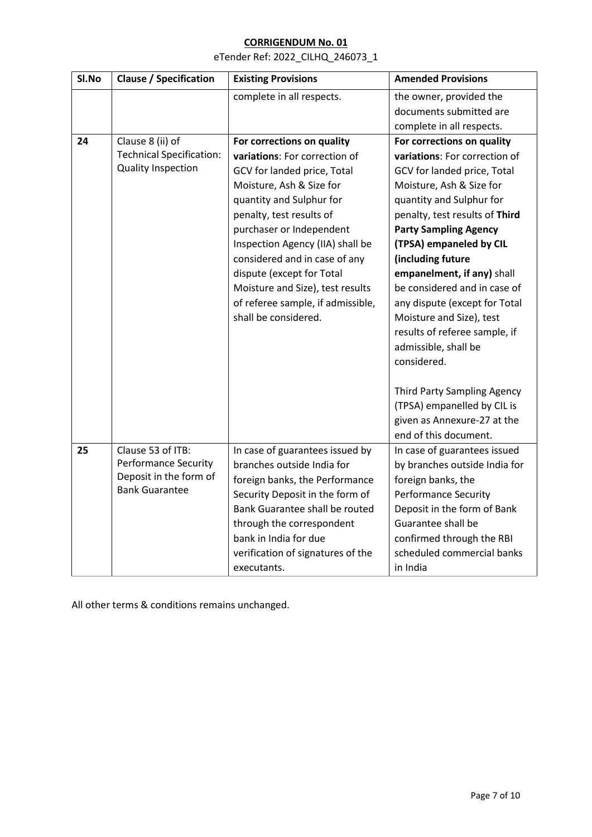eTender Ref: 2022\_CILHQ\_246073\_1

| Sl.No | <b>Clause / Specification</b>   | <b>Existing Provisions</b>        | <b>Amended Provisions</b>          |
|-------|---------------------------------|-----------------------------------|------------------------------------|
|       |                                 | complete in all respects.         | the owner, provided the            |
|       |                                 |                                   | documents submitted are            |
|       |                                 |                                   | complete in all respects.          |
| 24    | Clause 8 (ii) of                | For corrections on quality        | For corrections on quality         |
|       | <b>Technical Specification:</b> | variations: For correction of     | variations: For correction of      |
|       | Quality Inspection              | GCV for landed price, Total       | GCV for landed price, Total        |
|       |                                 | Moisture, Ash & Size for          | Moisture, Ash & Size for           |
|       |                                 | quantity and Sulphur for          | quantity and Sulphur for           |
|       |                                 | penalty, test results of          | penalty, test results of Third     |
|       |                                 | purchaser or Independent          | <b>Party Sampling Agency</b>       |
|       |                                 | Inspection Agency (IIA) shall be  | (TPSA) empaneled by CIL            |
|       |                                 | considered and in case of any     | (including future                  |
|       |                                 | dispute (except for Total         | empanelment, if any) shall         |
|       |                                 | Moisture and Size), test results  | be considered and in case of       |
|       |                                 | of referee sample, if admissible, | any dispute (except for Total      |
|       |                                 | shall be considered.              | Moisture and Size), test           |
|       |                                 |                                   | results of referee sample, if      |
|       |                                 |                                   | admissible, shall be               |
|       |                                 |                                   | considered.                        |
|       |                                 |                                   |                                    |
|       |                                 |                                   | <b>Third Party Sampling Agency</b> |
|       |                                 |                                   | (TPSA) empanelled by CIL is        |
|       |                                 |                                   | given as Annexure-27 at the        |
|       |                                 |                                   | end of this document.              |
| 25    | Clause 53 of ITB:               | In case of guarantees issued by   | In case of guarantees issued       |
|       | <b>Performance Security</b>     | branches outside India for        | by branches outside India for      |
|       | Deposit in the form of          | foreign banks, the Performance    | foreign banks, the                 |
|       | <b>Bank Guarantee</b>           | Security Deposit in the form of   | <b>Performance Security</b>        |
|       |                                 | Bank Guarantee shall be routed    | Deposit in the form of Bank        |
|       |                                 | through the correspondent         | Guarantee shall be                 |
|       |                                 | bank in India for due             | confirmed through the RBI          |
|       |                                 | verification of signatures of the | scheduled commercial banks         |
|       |                                 | executants.                       | in India                           |

All other terms & conditions remains unchanged.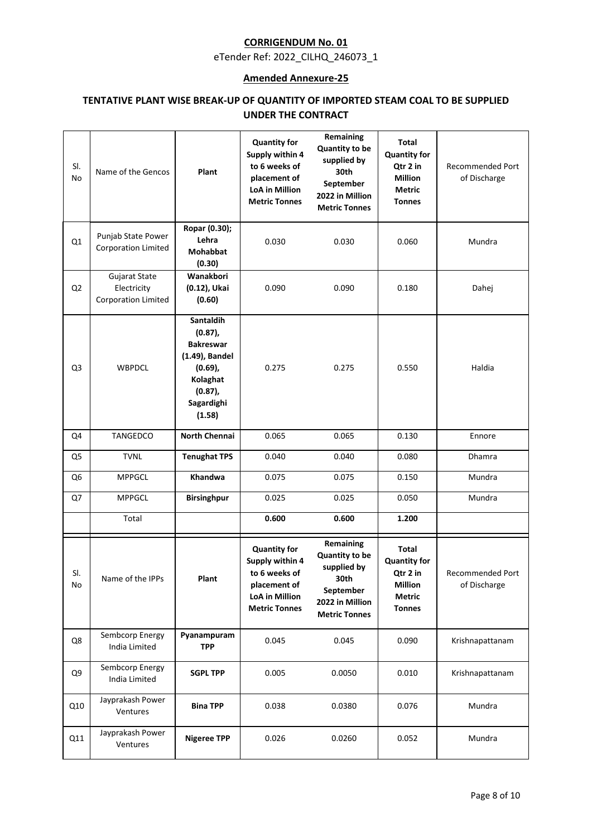eTender Ref: 2022\_CILHQ\_246073\_1

#### **Amended Annexure-25**

# **TENTATIVE PLANT WISE BREAK-UP OF QUANTITY OF IMPORTED STEAM COAL TO BE SUPPLIED UNDER THE CONTRACT**

| SI.<br>No      | Name of the Gencos                                         | Plant                                                                                                                                | <b>Quantity for</b><br>Supply within 4<br>to 6 weeks of<br>placement of<br><b>LoA in Million</b><br><b>Metric Tonnes</b> | Remaining<br><b>Quantity to be</b><br>supplied by<br>30th<br>September<br>2022 in Million<br><b>Metric Tonnes</b> | <b>Total</b><br><b>Quantity for</b><br>Qtr 2 in<br><b>Million</b><br>Metric<br><b>Tonnes</b> | <b>Recommended Port</b><br>of Discharge |
|----------------|------------------------------------------------------------|--------------------------------------------------------------------------------------------------------------------------------------|--------------------------------------------------------------------------------------------------------------------------|-------------------------------------------------------------------------------------------------------------------|----------------------------------------------------------------------------------------------|-----------------------------------------|
| Q1             | Punjab State Power<br><b>Corporation Limited</b>           | Ropar (0.30);<br>Lehra<br><b>Mohabbat</b><br>(0.30)                                                                                  | 0.030                                                                                                                    | 0.030                                                                                                             | 0.060                                                                                        | Mundra                                  |
| Q <sub>2</sub> | Gujarat State<br>Electricity<br><b>Corporation Limited</b> | Wanakbori<br>(0.12), Ukai<br>(0.60)                                                                                                  | 0.090                                                                                                                    | 0.090                                                                                                             | 0.180                                                                                        | Dahej                                   |
| Q3             | <b>WBPDCL</b>                                              | <b>Santaldih</b><br>$(0.87)$ ,<br><b>Bakreswar</b><br>(1.49), Bandel<br>$(0.69)$ ,<br>Kolaghat<br>$(0.87)$ ,<br>Sagardighi<br>(1.58) | 0.275                                                                                                                    | 0.275                                                                                                             | 0.550                                                                                        | Haldia                                  |
| Q4             | TANGEDCO                                                   | <b>North Chennai</b>                                                                                                                 | 0.065                                                                                                                    | 0.065                                                                                                             | 0.130                                                                                        | Ennore                                  |
| Q5             | <b>TVNL</b>                                                | <b>Tenughat TPS</b>                                                                                                                  | 0.040                                                                                                                    | 0.040                                                                                                             | 0.080                                                                                        | Dhamra                                  |
| Q <sub>6</sub> | <b>MPPGCL</b>                                              | Khandwa                                                                                                                              | 0.075                                                                                                                    | 0.075                                                                                                             | 0.150                                                                                        | Mundra                                  |
| Q7             | <b>MPPGCL</b>                                              | <b>Birsinghpur</b>                                                                                                                   | 0.025                                                                                                                    | 0.025                                                                                                             | 0.050                                                                                        | Mundra                                  |
|                | Total                                                      |                                                                                                                                      | 0.600                                                                                                                    | 0.600                                                                                                             | 1.200                                                                                        |                                         |
| SI.<br>No      | Name of the IPPs                                           | Plant                                                                                                                                | <b>Quantity for</b><br>Supply within 4<br>to 6 weeks of<br>placement of<br><b>LoA in Million</b><br><b>Metric Tonnes</b> | Remaining<br><b>Quantity to be</b><br>supplied by<br>30th<br>September<br>2022 in Million<br><b>Metric Tonnes</b> | <b>Total</b><br><b>Quantity for</b><br>Qtr 2 in<br>Million<br><b>Metric</b><br><b>Tonnes</b> | Recommended Port<br>of Discharge        |
| Q8             | Sembcorp Energy<br>India Limited                           | Pyanampuram<br><b>TPP</b>                                                                                                            | 0.045                                                                                                                    | 0.045                                                                                                             | 0.090                                                                                        | Krishnapattanam                         |
| Q9             | Sembcorp Energy<br>India Limited                           | <b>SGPL TPP</b>                                                                                                                      | 0.005                                                                                                                    | 0.0050                                                                                                            | 0.010                                                                                        | Krishnapattanam                         |
| Q10            | Jayprakash Power<br>Ventures                               | <b>Bina TPP</b>                                                                                                                      | 0.038                                                                                                                    | 0.0380                                                                                                            | 0.076                                                                                        | Mundra                                  |
| Q11            | Jayprakash Power<br>Ventures                               | <b>Nigeree TPP</b>                                                                                                                   | 0.026                                                                                                                    | 0.0260                                                                                                            | 0.052                                                                                        | Mundra                                  |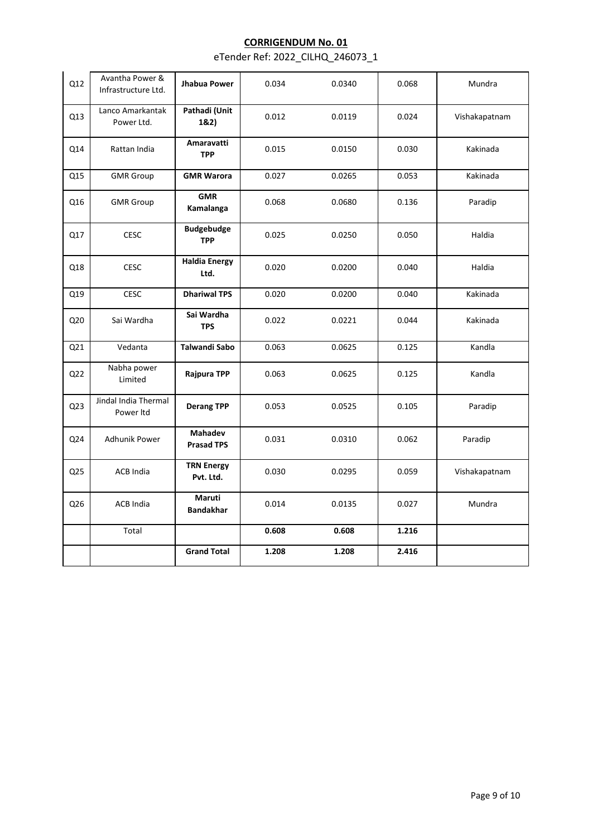| Q12             | Avantha Power &<br>Infrastructure Ltd. | Jhabua Power                        | 0.034 | 0.0340 | 0.068 | Mundra        |
|-----------------|----------------------------------------|-------------------------------------|-------|--------|-------|---------------|
| Q13             | Lanco Amarkantak<br>Power Ltd.         | Pathadi (Unit<br>1&2)               | 0.012 | 0.0119 | 0.024 | Vishakapatnam |
| Q14             | Rattan India                           | Amaravatti<br><b>TPP</b>            | 0.015 | 0.0150 | 0.030 | Kakinada      |
| Q15             | <b>GMR</b> Group                       | <b>GMR Warora</b>                   | 0.027 | 0.0265 | 0.053 | Kakinada      |
| Q16             | <b>GMR</b> Group                       | <b>GMR</b><br>Kamalanga             | 0.068 | 0.0680 | 0.136 | Paradip       |
| Q17             | <b>CESC</b>                            | <b>Budgebudge</b><br><b>TPP</b>     | 0.025 | 0.0250 | 0.050 | Haldia        |
| Q18             | <b>CESC</b>                            | <b>Haldia Energy</b><br>Ltd.        | 0.020 | 0.0200 | 0.040 | Haldia        |
| Q19             | <b>CESC</b>                            | <b>Dhariwal TPS</b>                 | 0.020 | 0.0200 | 0.040 | Kakinada      |
| Q20             | Sai Wardha                             | Sai Wardha<br><b>TPS</b>            | 0.022 | 0.0221 | 0.044 | Kakinada      |
| Q21             | Vedanta                                | <b>Talwandi Sabo</b>                | 0.063 | 0.0625 | 0.125 | Kandla        |
| Q <sub>22</sub> | Nabha power<br>Limited                 | Rajpura TPP                         | 0.063 | 0.0625 | 0.125 | Kandla        |
| Q23             | Jindal India Thermal<br>Power Itd      | <b>Derang TPP</b>                   | 0.053 | 0.0525 | 0.105 | Paradip       |
| Q24             | Adhunik Power                          | <b>Mahadev</b><br><b>Prasad TPS</b> | 0.031 | 0.0310 | 0.062 | Paradip       |
| Q25             | <b>ACB India</b>                       | <b>TRN Energy</b><br>Pvt. Ltd.      | 0.030 | 0.0295 | 0.059 | Vishakapatnam |
| Q26             | <b>ACB India</b>                       | Maruti<br><b>Bandakhar</b>          | 0.014 | 0.0135 | 0.027 | Mundra        |
|                 | Total                                  |                                     | 0.608 | 0.608  | 1.216 |               |
|                 |                                        | <b>Grand Total</b>                  | 1.208 | 1.208  | 2.416 |               |